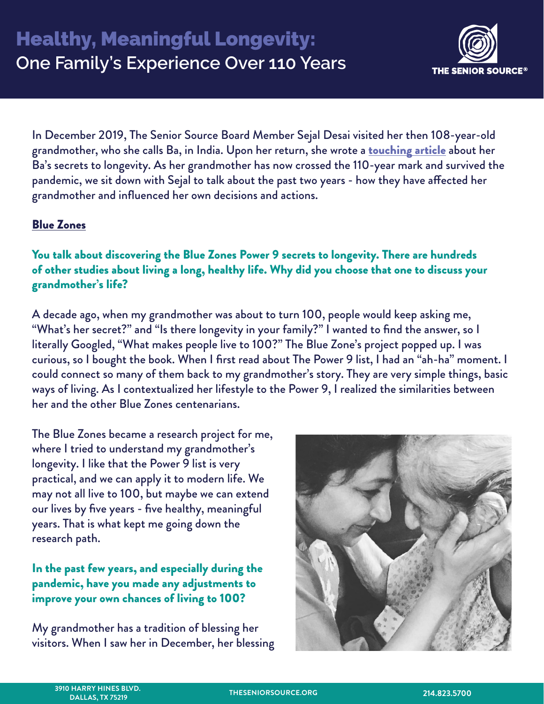

In December 2019, The Senior Source Board Member Sejal Desai visited her then 108-year-old grandmother, who she calls Ba, in India. Upon her return, she wrote a [touching article](https://www.linkedin.com/pulse/108-year-olds-super-powers-sejal-desai/) about her Ba's secrets to longevity. As her grandmother has now crossed the 110-year mark and survived the pandemic, we sit down with Sejal to talk about the past two years - how they have affected her grandmother and influenced her own decisions and actions.

### Blue Zones

You talk about discovering the Blue Zones Power 9 secrets to longevity. There are hundreds of other studies about living a long, healthy life. Why did you choose that one to discuss your grandmother's life?

A decade ago, when my grandmother was about to turn 100, people would keep asking me, "What's her secret?" and "Is there longevity in your family?" I wanted to find the answer, so I literally Googled, "What makes people live to 100?" The Blue Zone's project popped up. I was curious, so I bought the book. When I first read about The Power 9 list, I had an "ah-ha" moment. I could connect so many of them back to my grandmother's story. They are very simple things, basic ways of living. As I contextualized her lifestyle to the Power 9, I realized the similarities between her and the other Blue Zones centenarians.

The Blue Zones became a research project for me, where I tried to understand my grandmother's longevity. I like that the Power 9 list is very practical, and we can apply it to modern life. We may not all live to 100, but maybe we can extend our lives by five years - five healthy, meaningful years. That is what kept me going down the research path.

In the past few years, and especially during the pandemic, have you made any adjustments to improve your own chances of living to 100?

My grandmother has a tradition of blessing her visitors. When I saw her in December, her blessing

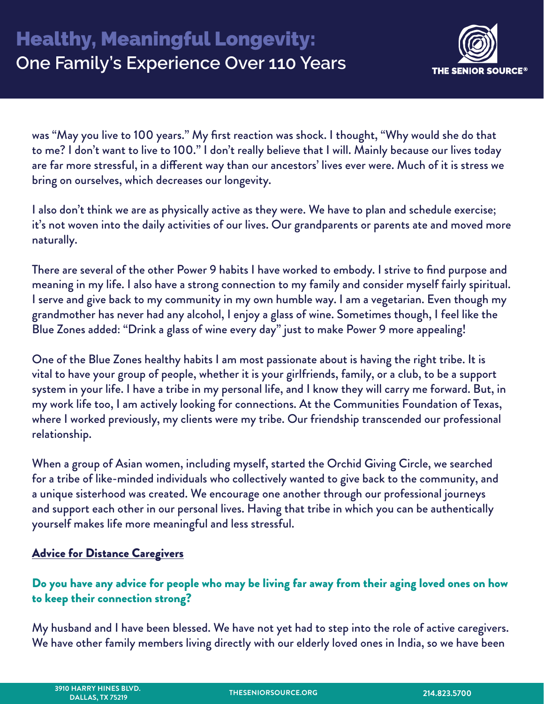

was "May you live to 100 years." My first reaction was shock. I thought, "Why would she do that to me? I don't want to live to 100." I don't really believe that I will. Mainly because our lives today are far more stressful, in a different way than our ancestors' lives ever were. Much of it is stress we bring on ourselves, which decreases our longevity.

I also don't think we are as physically active as they were. We have to plan and schedule exercise; it's not woven into the daily activities of our lives. Our grandparents or parents ate and moved more naturally.

There are several of the other Power 9 habits I have worked to embody. I strive to find purpose and meaning in my life. I also have a strong connection to my family and consider myself fairly spiritual. I serve and give back to my community in my own humble way. I am a vegetarian. Even though my grandmother has never had any alcohol, I enjoy a glass of wine. Sometimes though, I feel like the Blue Zones added: "Drink a glass of wine every day" just to make Power 9 more appealing!

One of the Blue Zones healthy habits I am most passionate about is having the right tribe. It is vital to have your group of people, whether it is your girlfriends, family, or a club, to be a support system in your life. I have a tribe in my personal life, and I know they will carry me forward. But, in my work life too, I am actively looking for connections. At the Communities Foundation of Texas, where I worked previously, my clients were my tribe. Our friendship transcended our professional relationship.

When a group of Asian women, including myself, started the Orchid Giving Circle, we searched for a tribe of like-minded individuals who collectively wanted to give back to the community, and a unique sisterhood was created. We encourage one another through our professional journeys and support each other in our personal lives. Having that tribe in which you can be authentically yourself makes life more meaningful and less stressful.

# **Advice for Distance Caregivers**

# Do you have any advice for people who may be living far away from their aging loved ones on how to keep their connection strong?

My husband and I have been blessed. We have not yet had to step into the role of active caregivers. We have other family members living directly with our elderly loved ones in India, so we have been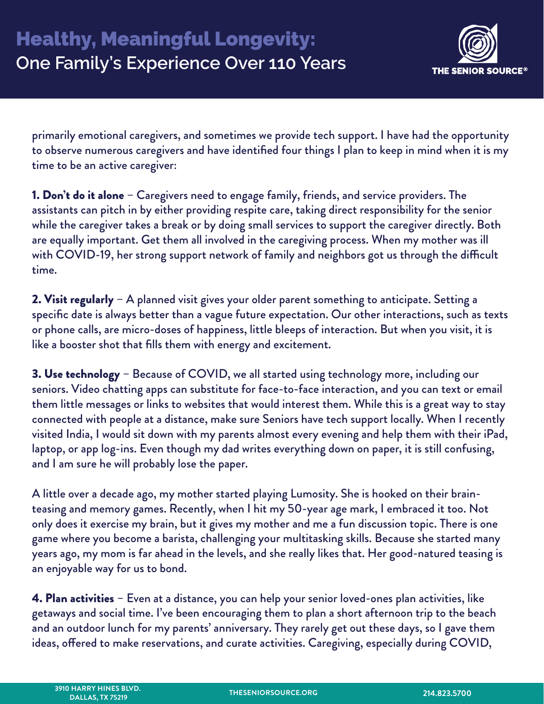

primarily emotional caregivers, and sometimes we provide tech support. I have had the opportunity to observe numerous caregivers and have identified four things I plan to keep in mind when it is my time to be an active caregiver:

**1. Don't do it alone** – Caregivers need to engage family, friends, and service providers. The assistants can pitch in by either providing respite care, taking direct responsibility for the senior while the caregiver takes a break or by doing small services to support the caregiver directly. Both are equally important. Get them all involved in the caregiving process. When my mother was ill with COVID-19, her strong support network of family and neighbors got us through the difficult time.

2. Visit regularly – A planned visit gives your older parent something to anticipate. Setting a specific date is always better than a vague future expectation. Our other interactions, such as texts or phone calls, are micro-doses of happiness, little bleeps of interaction. But when you visit, it is like a booster shot that fills them with energy and excitement.

3. Use technology – Because of COVID, we all started using technology more, including our seniors. Video chatting apps can substitute for face-to-face interaction, and you can text or email them little messages or links to websites that would interest them. While this is a great way to stay connected with people at a distance, make sure Seniors have tech support locally. When I recently visited India, I would sit down with my parents almost every evening and help them with their iPad, laptop, or app log-ins. Even though my dad writes everything down on paper, it is still confusing, and I am sure he will probably lose the paper.

A little over a decade ago, my mother started playing Lumosity. She is hooked on their brainteasing and memory games. Recently, when I hit my 50-year age mark, I embraced it too. Not only does it exercise my brain, but it gives my mother and me a fun discussion topic. There is one game where you become a barista, challenging your multitasking skills. Because she started many years ago, my mom is far ahead in the levels, and she really likes that. Her good-natured teasing is an enjoyable way for us to bond.

4. Plan activities – Even at a distance, you can help your senior loved-ones plan activities, like getaways and social time. I've been encouraging them to plan a short afternoon trip to the beach and an outdoor lunch for my parents' anniversary. They rarely get out these days, so I gave them ideas, offered to make reservations, and curate activities. Caregiving, especially during COVID,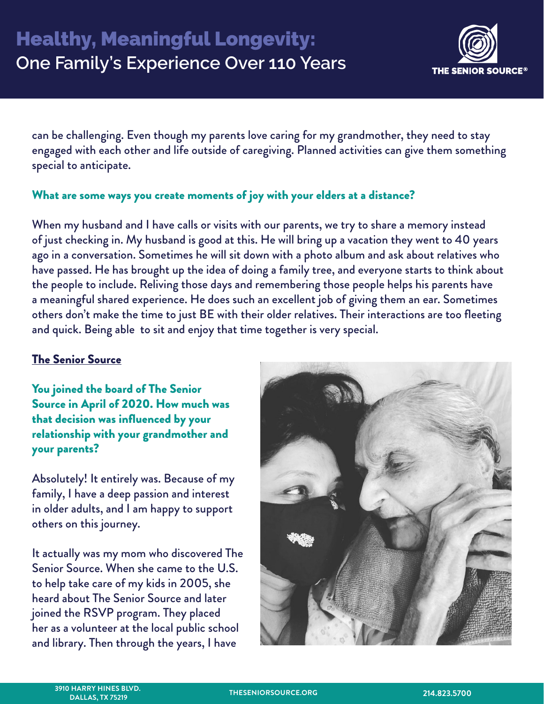

can be challenging. Even though my parents love caring for my grandmother, they need to stay engaged with each other and life outside of caregiving. Planned activities can give them something special to anticipate.

#### What are some ways you create moments of joy with your elders at a distance?

When my husband and I have calls or visits with our parents, we try to share a memory instead of just checking in. My husband is good at this. He will bring up a vacation they went to 40 years ago in a conversation. Sometimes he will sit down with a photo album and ask about relatives who have passed. He has brought up the idea of doing a family tree, and everyone starts to think about the people to include. Reliving those days and remembering those people helps his parents have a meaningful shared experience. He does such an excellent job of giving them an ear. Sometimes others don't make the time to just BE with their older relatives. Their interactions are too fleeting and quick. Being able to sit and enjoy that time together is very special.

# The Senior Source

You joined the board of The Senior Source in April of 2020. How much was that decision was influenced by your relationship with your grandmother and your parents?

Absolutely! It entirely was. Because of my family, I have a deep passion and interest in older adults, and I am happy to support others on this journey.

It actually was my mom who discovered The Senior Source. When she came to the U.S. to help take care of my kids in 2005, she heard about The Senior Source and later joined the RSVP program. They placed her as a volunteer at the local public school and library. Then through the years, I have